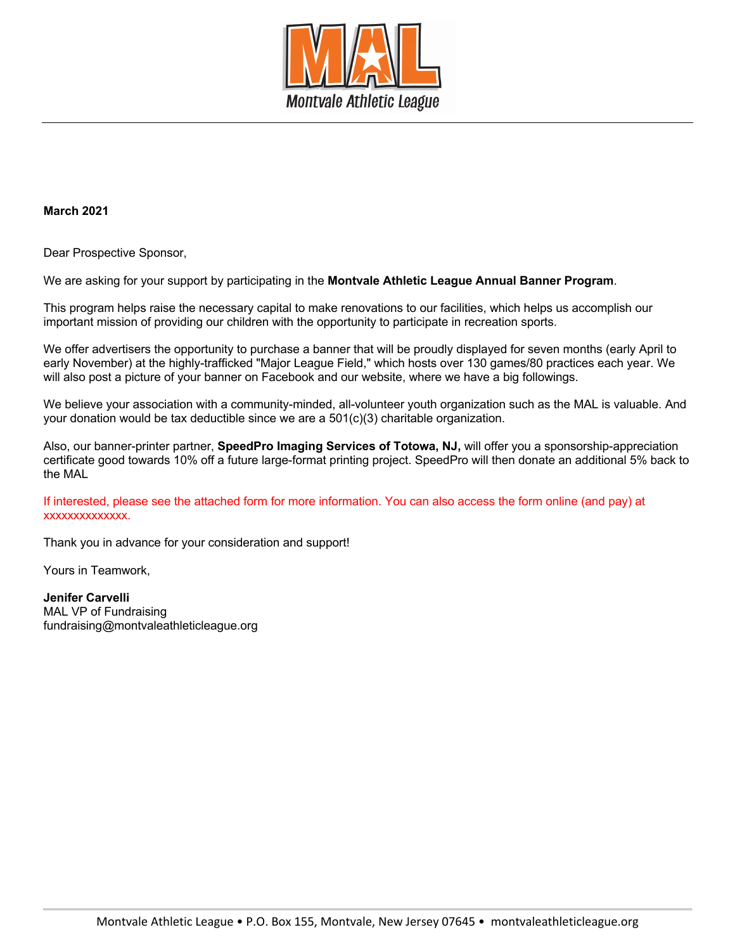

## **March 2021**

Dear Prospective Sponsor,

We are asking for your support by participating in the **Montvale Athletic League Annual Banner Program**.

This program helps raise the necessary capital to make renovations to our facilities, which helps us accomplish our important mission of providing our children with the opportunity to participate in recreation sports.

We offer advertisers the opportunity to purchase a banner that will be proudly displayed for seven months (early April to early November) at the highly-trafficked "Major League Field," which hosts over 130 games/80 practices each year. We will also post a picture of your banner on Facebook and our website, where we have a big followings.

We believe your association with a community-minded, all-volunteer youth organization such as the MAL is valuable. And your donation would be tax deductible since we are a 501(c)(3) charitable organization.

Also, our banner-printer partner, **SpeedPro Imaging Services of Totowa, NJ,** will offer you a sponsorship-appreciation certificate good towards 10% off a future large-format printing project. SpeedPro will then donate an additional 5% back to the MAL

If interested, please see the attached form for more information. You can also access the form online (and pay) at xxxxxxxxxxxxxx.

Thank you in advance for your consideration and support!

Yours in Teamwork,

**Jenifer Carvelli** MAL VP of Fundraising fundraising@montvaleathleticleague.org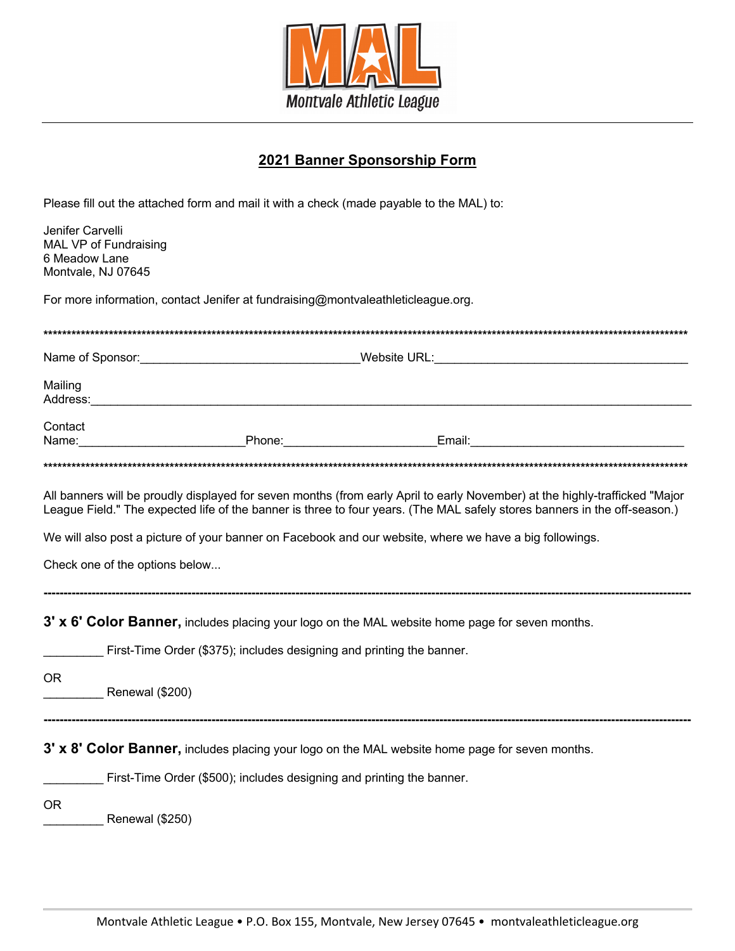

## **2021 Banner Sponsorship Form**

Please fill out the attached form and mail it with a check (made payable to the MAL) to:

| Jenifer Carvelli<br>6 Meadow Lane                                                                                                                                               | MAL VP of Fundraising<br>Montvale, NJ 07645                                                                                                                                                                                                                                                                                                                                                           |
|---------------------------------------------------------------------------------------------------------------------------------------------------------------------------------|-------------------------------------------------------------------------------------------------------------------------------------------------------------------------------------------------------------------------------------------------------------------------------------------------------------------------------------------------------------------------------------------------------|
| For more information, contact Jenifer at fundraising@montvaleathleticleague.org.                                                                                                |                                                                                                                                                                                                                                                                                                                                                                                                       |
|                                                                                                                                                                                 |                                                                                                                                                                                                                                                                                                                                                                                                       |
|                                                                                                                                                                                 | Name of Sponsor: Name of Sponsor: New York 1999 New York 1999 New York 1999 New York 1999 New York 1999 New York 1999 New York 1999 New York 1999 New York 1999 New York 1999 New York 1999 New York 1999 New York 1999 New Yo                                                                                                                                                                        |
| Mailing                                                                                                                                                                         |                                                                                                                                                                                                                                                                                                                                                                                                       |
| Contact<br>Name:                                                                                                                                                                | Phone: <u>Denoted and Email:</u> Denoted and Phone: 2014                                                                                                                                                                                                                                                                                                                                              |
|                                                                                                                                                                                 |                                                                                                                                                                                                                                                                                                                                                                                                       |
|                                                                                                                                                                                 | All banners will be proudly displayed for seven months (from early April to early November) at the highly-trafficked "Major<br>League Field." The expected life of the banner is three to four years. (The MAL safely stores banners in the off-season.)<br>We will also post a picture of your banner on Facebook and our website, where we have a big followings.<br>Check one of the options below |
| 3' x 6' Color Banner, includes placing your logo on the MAL website home page for seven months.<br>First-Time Order (\$375); includes designing and printing the banner.<br>OR. |                                                                                                                                                                                                                                                                                                                                                                                                       |
|                                                                                                                                                                                 | Renewal (\$200)                                                                                                                                                                                                                                                                                                                                                                                       |
|                                                                                                                                                                                 | 3' x 8' Color Banner, includes placing your logo on the MAL website home page for seven months.<br>First-Time Order (\$500); includes designing and printing the banner.                                                                                                                                                                                                                              |
| 0R                                                                                                                                                                              | Renewal (\$250)                                                                                                                                                                                                                                                                                                                                                                                       |